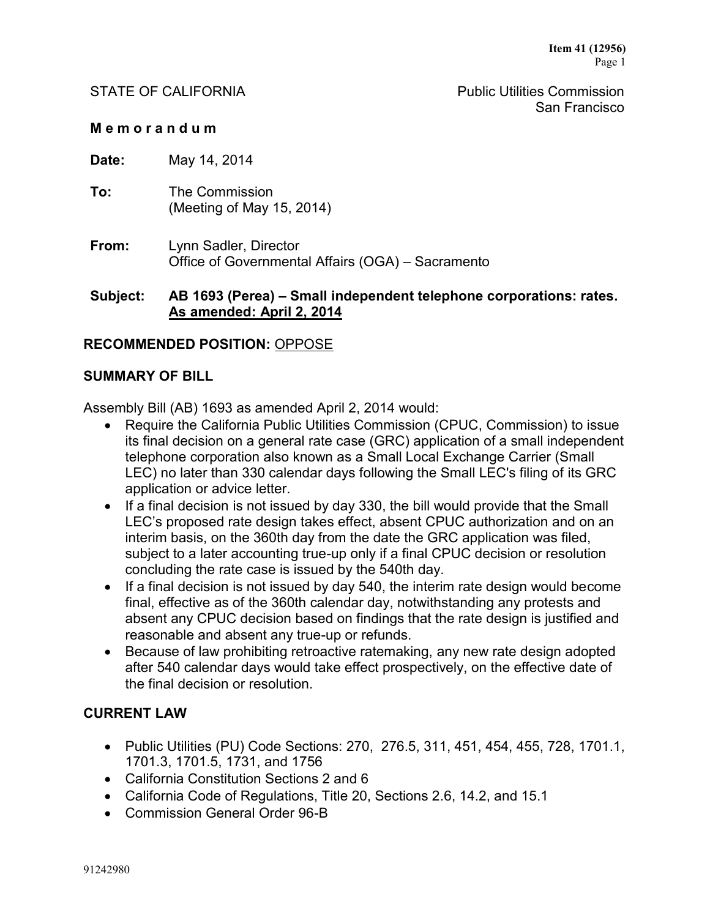STATE OF CALIFORNIA **Public Utilities Commission** San Francisco

#### **M e m o r a n d u m**

**Date:** May 14, 2014

- **To:** The Commission (Meeting of May 15, 2014)
- **From:** Lynn Sadler, Director Office of Governmental Affairs (OGA) – Sacramento

## **Subject: AB 1693 (Perea) – Small independent telephone corporations: rates. As amended: April 2, 2014**

## **RECOMMENDED POSITION:** OPPOSE

#### **SUMMARY OF BILL**

Assembly Bill (AB) 1693 as amended April 2, 2014 would:

- Require the California Public Utilities Commission (CPUC, Commission) to issue its final decision on a general rate case (GRC) application of a small independent telephone corporation also known as a Small Local Exchange Carrier (Small LEC) no later than 330 calendar days following the Small LEC's filing of its GRC application or advice letter.
- If a final decision is not issued by day 330, the bill would provide that the Small LEC's proposed rate design takes effect, absent CPUC authorization and on an interim basis, on the 360th day from the date the GRC application was filed, subject to a later accounting true-up only if a final CPUC decision or resolution concluding the rate case is issued by the 540th day.
- If a final decision is not issued by day 540, the interim rate design would become final, effective as of the 360th calendar day, notwithstanding any protests and absent any CPUC decision based on findings that the rate design is justified and reasonable and absent any true-up or refunds.
- Because of law prohibiting retroactive ratemaking, any new rate design adopted after 540 calendar days would take effect prospectively, on the effective date of the final decision or resolution.

## **CURRENT LAW**

- Public Utilities (PU) Code Sections: 270, 276.5, 311, 451, 454, 455, 728, 1701.1, 1701.3, 1701.5, 1731, and 1756
- California Constitution Sections 2 and 6
- California Code of Regulations, Title 20, Sections 2.6, 14.2, and 15.1
- Commission General Order 96-B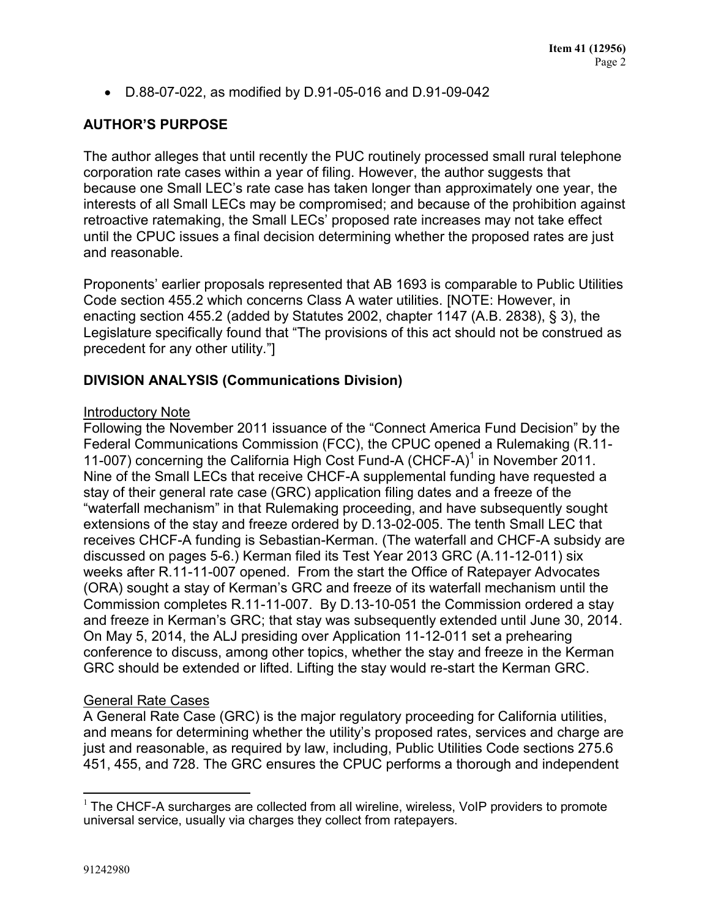D.88-07-022, as modified by D.91-05-016 and D.91-09-042

# **AUTHOR'S PURPOSE**

The author alleges that until recently the PUC routinely processed small rural telephone corporation rate cases within a year of filing. However, the author suggests that because one Small LEC's rate case has taken longer than approximately one year, the interests of all Small LECs may be compromised; and because of the prohibition against retroactive ratemaking, the Small LECs' proposed rate increases may not take effect until the CPUC issues a final decision determining whether the proposed rates are just and reasonable.

Proponents' earlier proposals represented that AB 1693 is comparable to Public Utilities Code section 455.2 which concerns Class A water utilities. [NOTE: However, in enacting section 455.2 (added by Statutes 2002, chapter 1147 (A.B. 2838), § 3), the Legislature specifically found that "The provisions of this act should not be construed as precedent for any other utility."]

## **DIVISION ANALYSIS (Communications Division)**

#### Introductory Note

Following the November 2011 issuance of the "Connect America Fund Decision" by the Federal Communications Commission (FCC), the CPUC opened a Rulemaking (R.11- 11-007) concerning the California High Cost Fund-A (CHCF-A)<sup>1</sup> in November 2011. Nine of the Small LECs that receive CHCF-A supplemental funding have requested a stay of their general rate case (GRC) application filing dates and a freeze of the "waterfall mechanism" in that Rulemaking proceeding, and have subsequently sought extensions of the stay and freeze ordered by D.13-02-005. The tenth Small LEC that receives CHCF-A funding is Sebastian-Kerman. (The waterfall and CHCF-A subsidy are discussed on pages 5-6.) Kerman filed its Test Year 2013 GRC (A.11-12-011) six weeks after R.11-11-007 opened. From the start the Office of Ratepayer Advocates (ORA) sought a stay of Kerman's GRC and freeze of its waterfall mechanism until the Commission completes R.11-11-007. By D.13-10-051 the Commission ordered a stay and freeze in Kerman's GRC; that stay was subsequently extended until June 30, 2014. On May 5, 2014, the ALJ presiding over Application 11-12-011 set a prehearing conference to discuss, among other topics, whether the stay and freeze in the Kerman GRC should be extended or lifted. Lifting the stay would re-start the Kerman GRC.

#### General Rate Cases

A General Rate Case (GRC) is the major regulatory proceeding for California utilities, and means for determining whether the utility's proposed rates, services and charge are just and reasonable, as required by law, including, Public Utilities Code sections 275.6 451, 455, and 728. The GRC ensures the CPUC performs a thorough and independent

 $\overline{a}$ 

 $1$  The CHCF-A surcharges are collected from all wireline, wireless, VoIP providers to promote universal service, usually via charges they collect from ratepayers.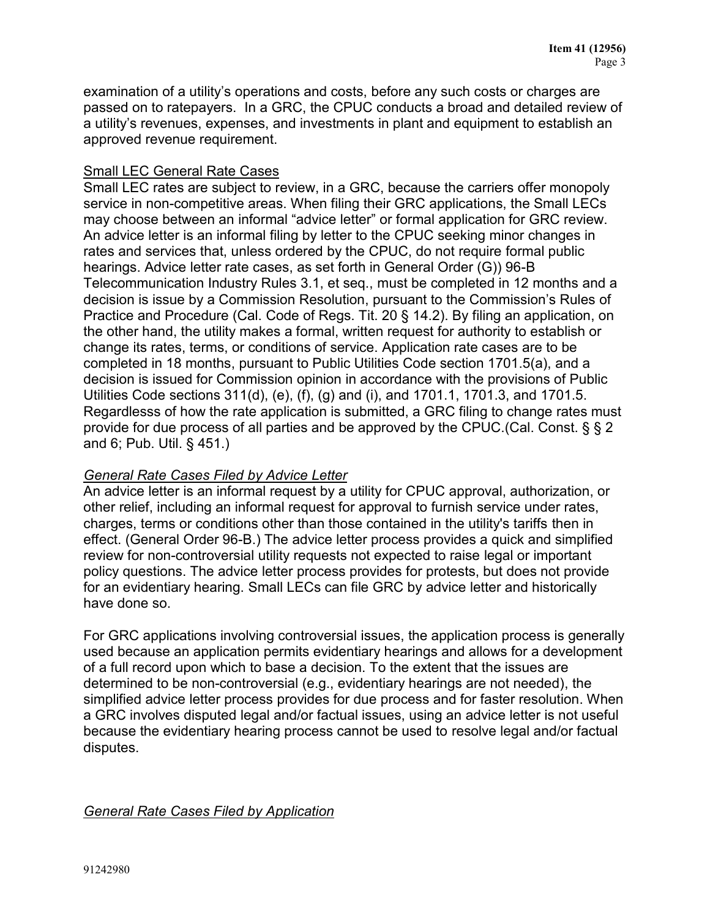examination of a utility's operations and costs, before any such costs or charges are passed on to ratepayers. In a GRC, the CPUC conducts a broad and detailed review of a utility's revenues, expenses, and investments in plant and equipment to establish an approved revenue requirement.

## Small LEC General Rate Cases

Small LEC rates are subject to review, in a GRC, because the carriers offer monopoly service in non-competitive areas. When filing their GRC applications, the Small LECs may choose between an informal "advice letter" or formal application for GRC review. An advice letter is an informal filing by letter to the CPUC seeking minor changes in rates and services that, unless ordered by the CPUC, do not require formal public hearings. Advice letter rate cases, as set forth in General Order (G)) 96-B Telecommunication Industry Rules 3.1, et seq., must be completed in 12 months and a decision is issue by a Commission Resolution, pursuant to the Commission's Rules of Practice and Procedure (Cal. Code of Regs. Tit. 20 § 14.2). By filing an application, on the other hand, the utility makes a formal, written request for authority to establish or change its rates, terms, or conditions of service. Application rate cases are to be completed in 18 months, pursuant to Public Utilities Code section 1701.5(a), and a decision is issued for Commission opinion in accordance with the provisions of Public Utilities Code sections 311(d), (e), (f), (g) and (i), and 1701.1, 1701.3, and 1701.5. Regardlesss of how the rate application is submitted, a GRC filing to change rates must provide for due process of all parties and be approved by the CPUC.(Cal. Const. § § 2 and 6; Pub. Util. § 451.)

## *General Rate Cases Filed by Advice Letter*

An advice letter is an informal request by a utility for CPUC approval, authorization, or other relief, including an informal request for approval to furnish service under rates, charges, terms or conditions other than those contained in the utility's tariffs then in effect. (General Order 96-B.) The advice letter process provides a quick and simplified review for non-controversial utility requests not expected to raise legal or important policy questions. The advice letter process provides for protests, but does not provide for an evidentiary hearing. Small LECs can file GRC by advice letter and historically have done so.

For GRC applications involving controversial issues, the application process is generally used because an application permits evidentiary hearings and allows for a development of a full record upon which to base a decision. To the extent that the issues are determined to be non-controversial (e.g., evidentiary hearings are not needed), the simplified advice letter process provides for due process and for faster resolution. When a GRC involves disputed legal and/or factual issues, using an advice letter is not useful because the evidentiary hearing process cannot be used to resolve legal and/or factual disputes.

## *General Rate Cases Filed by Application*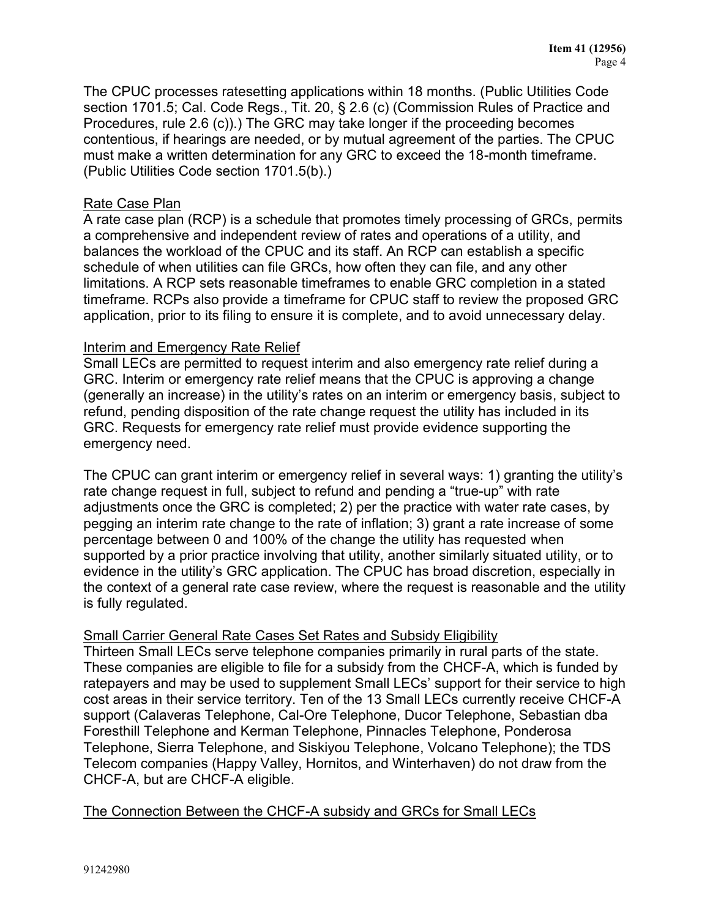The CPUC processes ratesetting applications within 18 months. (Public Utilities Code section 1701.5; Cal. Code Regs., Tit. 20, § 2.6 (c) (Commission Rules of Practice and Procedures, rule 2.6 (c)).) The GRC may take longer if the proceeding becomes contentious, if hearings are needed, or by mutual agreement of the parties. The CPUC must make a written determination for any GRC to exceed the 18-month timeframe. (Public Utilities Code section 1701.5(b).)

## Rate Case Plan

A rate case plan (RCP) is a schedule that promotes timely processing of GRCs, permits a comprehensive and independent review of rates and operations of a utility, and balances the workload of the CPUC and its staff. An RCP can establish a specific schedule of when utilities can file GRCs, how often they can file, and any other limitations. A RCP sets reasonable timeframes to enable GRC completion in a stated timeframe. RCPs also provide a timeframe for CPUC staff to review the proposed GRC application, prior to its filing to ensure it is complete, and to avoid unnecessary delay.

## Interim and Emergency Rate Relief

Small LECs are permitted to request interim and also emergency rate relief during a GRC. Interim or emergency rate relief means that the CPUC is approving a change (generally an increase) in the utility's rates on an interim or emergency basis, subject to refund, pending disposition of the rate change request the utility has included in its GRC. Requests for emergency rate relief must provide evidence supporting the emergency need.

The CPUC can grant interim or emergency relief in several ways: 1) granting the utility's rate change request in full, subject to refund and pending a "true-up" with rate adjustments once the GRC is completed; 2) per the practice with water rate cases, by pegging an interim rate change to the rate of inflation; 3) grant a rate increase of some percentage between 0 and 100% of the change the utility has requested when supported by a prior practice involving that utility, another similarly situated utility, or to evidence in the utility's GRC application. The CPUC has broad discretion, especially in the context of a general rate case review, where the request is reasonable and the utility is fully regulated.

## Small Carrier General Rate Cases Set Rates and Subsidy Eligibility

Thirteen Small LECs serve telephone companies primarily in rural parts of the state. These companies are eligible to file for a subsidy from the CHCF-A, which is funded by ratepayers and may be used to supplement Small LECs' support for their service to high cost areas in their service territory. Ten of the 13 Small LECs currently receive CHCF-A support (Calaveras Telephone, Cal-Ore Telephone, Ducor Telephone, Sebastian dba Foresthill Telephone and Kerman Telephone, Pinnacles Telephone, Ponderosa Telephone, Sierra Telephone, and Siskiyou Telephone, Volcano Telephone); the TDS Telecom companies (Happy Valley, Hornitos, and Winterhaven) do not draw from the CHCF-A, but are CHCF-A eligible.

## The Connection Between the CHCF-A subsidy and GRCs for Small LECs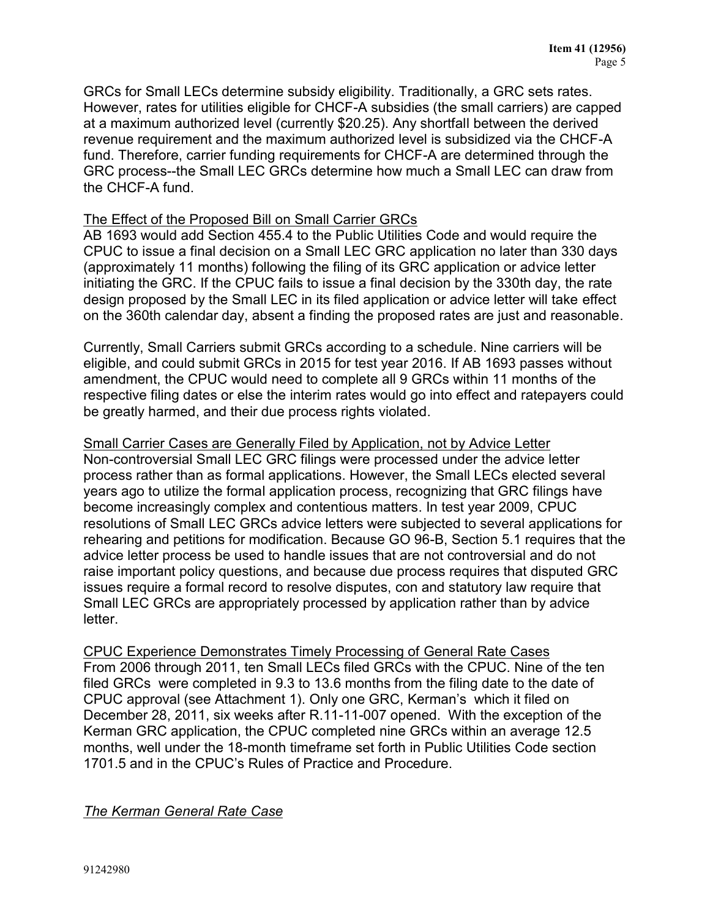GRCs for Small LECs determine subsidy eligibility. Traditionally, a GRC sets rates. However, rates for utilities eligible for CHCF-A subsidies (the small carriers) are capped at a maximum authorized level (currently \$20.25). Any shortfall between the derived revenue requirement and the maximum authorized level is subsidized via the CHCF-A fund. Therefore, carrier funding requirements for CHCF-A are determined through the GRC process--the Small LEC GRCs determine how much a Small LEC can draw from the CHCF-A fund.

## The Effect of the Proposed Bill on Small Carrier GRCs

AB 1693 would add Section 455.4 to the Public Utilities Code and would require the CPUC to issue a final decision on a Small LEC GRC application no later than 330 days (approximately 11 months) following the filing of its GRC application or advice letter initiating the GRC. If the CPUC fails to issue a final decision by the 330th day, the rate design proposed by the Small LEC in its filed application or advice letter will take effect on the 360th calendar day, absent a finding the proposed rates are just and reasonable.

Currently, Small Carriers submit GRCs according to a schedule. Nine carriers will be eligible, and could submit GRCs in 2015 for test year 2016. If AB 1693 passes without amendment, the CPUC would need to complete all 9 GRCs within 11 months of the respective filing dates or else the interim rates would go into effect and ratepayers could be greatly harmed, and their due process rights violated.

# Small Carrier Cases are Generally Filed by Application, not by Advice Letter

Non-controversial Small LEC GRC filings were processed under the advice letter process rather than as formal applications. However, the Small LECs elected several years ago to utilize the formal application process, recognizing that GRC filings have become increasingly complex and contentious matters. In test year 2009, CPUC resolutions of Small LEC GRCs advice letters were subjected to several applications for rehearing and petitions for modification. Because GO 96-B, Section 5.1 requires that the advice letter process be used to handle issues that are not controversial and do not raise important policy questions, and because due process requires that disputed GRC issues require a formal record to resolve disputes, con and statutory law require that Small LEC GRCs are appropriately processed by application rather than by advice letter.

CPUC Experience Demonstrates Timely Processing of General Rate Cases From 2006 through 2011, ten Small LECs filed GRCs with the CPUC. Nine of the ten filed GRCs were completed in 9.3 to 13.6 months from the filing date to the date of CPUC approval (see Attachment 1). Only one GRC, Kerman's which it filed on December 28, 2011, six weeks after R.11-11-007 opened. With the exception of the Kerman GRC application, the CPUC completed nine GRCs within an average 12.5 months, well under the 18-month timeframe set forth in Public Utilities Code section 1701.5 and in the CPUC's Rules of Practice and Procedure.

#### *The Kerman General Rate Case*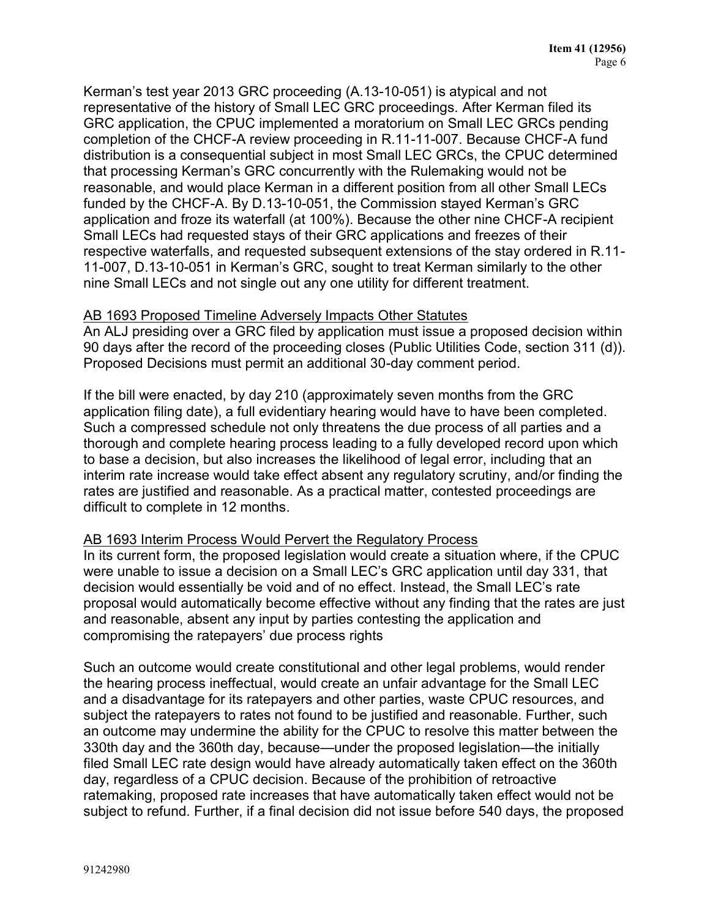Kerman's test year 2013 GRC proceeding (A.13-10-051) is atypical and not representative of the history of Small LEC GRC proceedings. After Kerman filed its GRC application, the CPUC implemented a moratorium on Small LEC GRCs pending completion of the CHCF-A review proceeding in R.11-11-007. Because CHCF-A fund distribution is a consequential subject in most Small LEC GRCs, the CPUC determined that processing Kerman's GRC concurrently with the Rulemaking would not be reasonable, and would place Kerman in a different position from all other Small LECs funded by the CHCF-A. By D.13-10-051, the Commission stayed Kerman's GRC application and froze its waterfall (at 100%). Because the other nine CHCF-A recipient Small LECs had requested stays of their GRC applications and freezes of their respective waterfalls, and requested subsequent extensions of the stay ordered in R.11- 11-007, D.13-10-051 in Kerman's GRC, sought to treat Kerman similarly to the other nine Small LECs and not single out any one utility for different treatment.

#### AB 1693 Proposed Timeline Adversely Impacts Other Statutes

An ALJ presiding over a GRC filed by application must issue a proposed decision within 90 days after the record of the proceeding closes (Public Utilities Code, section 311 (d)). Proposed Decisions must permit an additional 30-day comment period.

If the bill were enacted, by day 210 (approximately seven months from the GRC application filing date), a full evidentiary hearing would have to have been completed. Such a compressed schedule not only threatens the due process of all parties and a thorough and complete hearing process leading to a fully developed record upon which to base a decision, but also increases the likelihood of legal error, including that an interim rate increase would take effect absent any regulatory scrutiny, and/or finding the rates are justified and reasonable. As a practical matter, contested proceedings are difficult to complete in 12 months.

#### AB 1693 Interim Process Would Pervert the Regulatory Process

In its current form, the proposed legislation would create a situation where, if the CPUC were unable to issue a decision on a Small LEC's GRC application until day 331, that decision would essentially be void and of no effect. Instead, the Small LEC's rate proposal would automatically become effective without any finding that the rates are just and reasonable, absent any input by parties contesting the application and compromising the ratepayers' due process rights

Such an outcome would create constitutional and other legal problems, would render the hearing process ineffectual, would create an unfair advantage for the Small LEC and a disadvantage for its ratepayers and other parties, waste CPUC resources, and subject the ratepayers to rates not found to be justified and reasonable. Further, such an outcome may undermine the ability for the CPUC to resolve this matter between the 330th day and the 360th day, because—under the proposed legislation—the initially filed Small LEC rate design would have already automatically taken effect on the 360th day, regardless of a CPUC decision. Because of the prohibition of retroactive ratemaking, proposed rate increases that have automatically taken effect would not be subject to refund. Further, if a final decision did not issue before 540 days, the proposed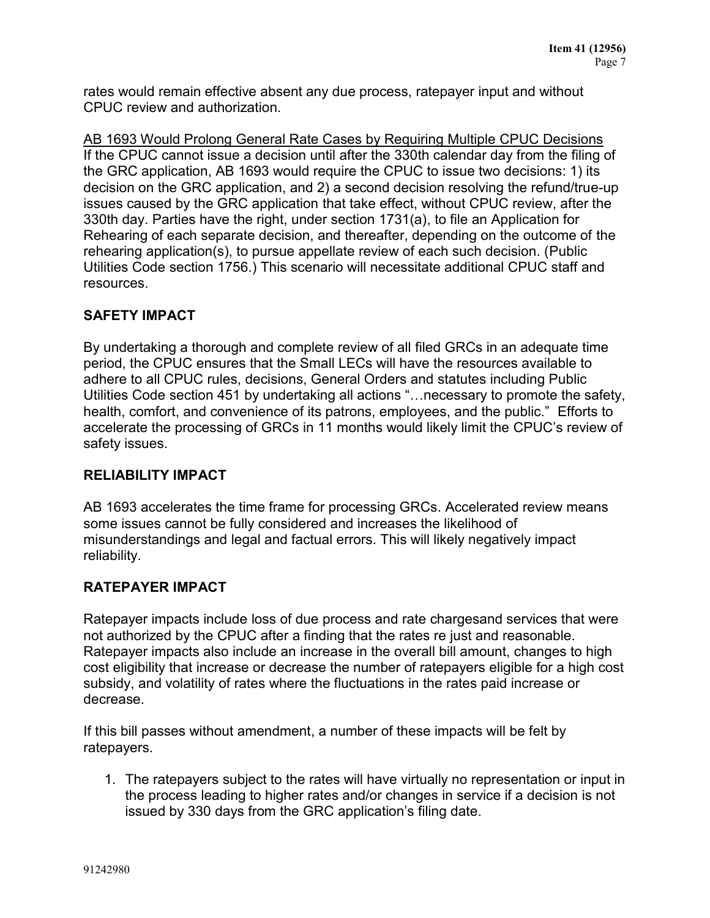rates would remain effective absent any due process, ratepayer input and without CPUC review and authorization.

AB 1693 Would Prolong General Rate Cases by Requiring Multiple CPUC Decisions If the CPUC cannot issue a decision until after the 330th calendar day from the filing of the GRC application, AB 1693 would require the CPUC to issue two decisions: 1) its decision on the GRC application, and 2) a second decision resolving the refund/true-up issues caused by the GRC application that take effect, without CPUC review, after the 330th day. Parties have the right, under section 1731(a), to file an Application for Rehearing of each separate decision, and thereafter, depending on the outcome of the rehearing application(s), to pursue appellate review of each such decision. (Public Utilities Code section 1756.) This scenario will necessitate additional CPUC staff and resources.

## **SAFETY IMPACT**

By undertaking a thorough and complete review of all filed GRCs in an adequate time period, the CPUC ensures that the Small LECs will have the resources available to adhere to all CPUC rules, decisions, General Orders and statutes including Public Utilities Code section 451 by undertaking all actions "…necessary to promote the safety, health, comfort, and convenience of its patrons, employees, and the public." Efforts to accelerate the processing of GRCs in 11 months would likely limit the CPUC's review of safety issues.

## **RELIABILITY IMPACT**

AB 1693 accelerates the time frame for processing GRCs. Accelerated review means some issues cannot be fully considered and increases the likelihood of misunderstandings and legal and factual errors. This will likely negatively impact reliability.

## **RATEPAYER IMPACT**

Ratepayer impacts include loss of due process and rate chargesand services that were not authorized by the CPUC after a finding that the rates re just and reasonable. Ratepayer impacts also include an increase in the overall bill amount, changes to high cost eligibility that increase or decrease the number of ratepayers eligible for a high cost subsidy, and volatility of rates where the fluctuations in the rates paid increase or decrease.

If this bill passes without amendment, a number of these impacts will be felt by ratepayers.

1. The ratepayers subject to the rates will have virtually no representation or input in the process leading to higher rates and/or changes in service if a decision is not issued by 330 days from the GRC application's filing date.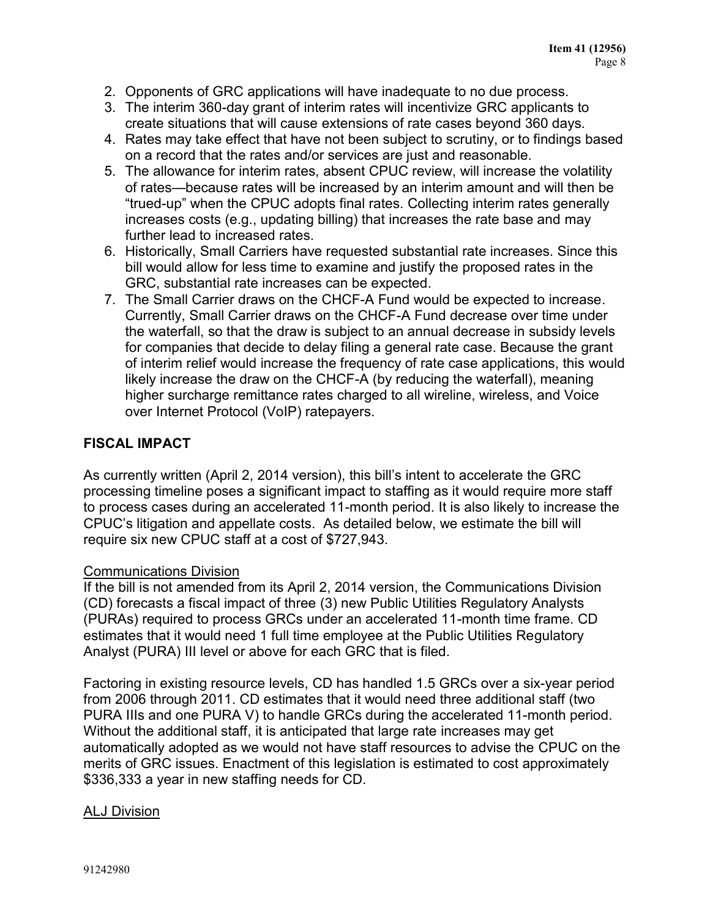- 2. Opponents of GRC applications will have inadequate to no due process.
- 3. The interim 360-day grant of interim rates will incentivize GRC applicants to create situations that will cause extensions of rate cases beyond 360 days.
- 4. Rates may take effect that have not been subject to scrutiny, or to findings based on a record that the rates and/or services are just and reasonable.
- 5. The allowance for interim rates, absent CPUC review, will increase the volatility of rates—because rates will be increased by an interim amount and will then be "trued-up" when the CPUC adopts final rates. Collecting interim rates generally increases costs (e.g., updating billing) that increases the rate base and may further lead to increased rates.
- 6. Historically, Small Carriers have requested substantial rate increases. Since this bill would allow for less time to examine and justify the proposed rates in the GRC, substantial rate increases can be expected.
- 7. The Small Carrier draws on the CHCF-A Fund would be expected to increase. Currently, Small Carrier draws on the CHCF-A Fund decrease over time under the waterfall, so that the draw is subject to an annual decrease in subsidy levels for companies that decide to delay filing a general rate case. Because the grant of interim relief would increase the frequency of rate case applications, this would likely increase the draw on the CHCF-A (by reducing the waterfall), meaning higher surcharge remittance rates charged to all wireline, wireless, and Voice over Internet Protocol (VoIP) ratepayers.

## **FISCAL IMPACT**

As currently written (April 2, 2014 version), this bill's intent to accelerate the GRC processing timeline poses a significant impact to staffing as it would require more staff to process cases during an accelerated 11-month period. It is also likely to increase the CPUC's litigation and appellate costs. As detailed below, we estimate the bill will require six new CPUC staff at a cost of \$727,943.

#### Communications Division

If the bill is not amended from its April 2, 2014 version, the Communications Division (CD) forecasts a fiscal impact of three (3) new Public Utilities Regulatory Analysts (PURAs) required to process GRCs under an accelerated 11-month time frame. CD estimates that it would need 1 full time employee at the Public Utilities Regulatory Analyst (PURA) III level or above for each GRC that is filed.

Factoring in existing resource levels, CD has handled 1.5 GRCs over a six-year period from 2006 through 2011. CD estimates that it would need three additional staff (two PURA IIIs and one PURA V) to handle GRCs during the accelerated 11-month period. Without the additional staff, it is anticipated that large rate increases may get automatically adopted as we would not have staff resources to advise the CPUC on the merits of GRC issues. Enactment of this legislation is estimated to cost approximately \$336,333 a year in new staffing needs for CD.

#### ALJ Division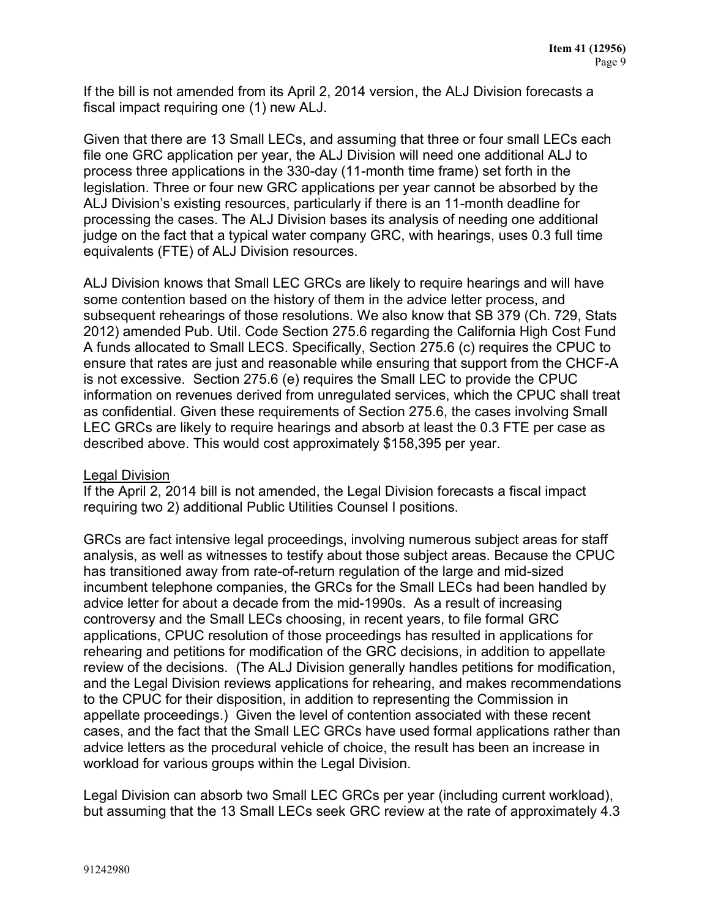If the bill is not amended from its April 2, 2014 version, the ALJ Division forecasts a fiscal impact requiring one (1) new ALJ.

Given that there are 13 Small LECs, and assuming that three or four small LECs each file one GRC application per year, the ALJ Division will need one additional ALJ to process three applications in the 330-day (11-month time frame) set forth in the legislation. Three or four new GRC applications per year cannot be absorbed by the ALJ Division's existing resources, particularly if there is an 11-month deadline for processing the cases. The ALJ Division bases its analysis of needing one additional judge on the fact that a typical water company GRC, with hearings, uses 0.3 full time equivalents (FTE) of ALJ Division resources.

ALJ Division knows that Small LEC GRCs are likely to require hearings and will have some contention based on the history of them in the advice letter process, and subsequent rehearings of those resolutions. We also know that SB 379 (Ch. 729, Stats 2012) amended Pub. Util. Code Section 275.6 regarding the California High Cost Fund A funds allocated to Small LECS. Specifically, Section 275.6 (c) requires the CPUC to ensure that rates are just and reasonable while ensuring that support from the CHCF-A is not excessive. Section 275.6 (e) requires the Small LEC to provide the CPUC information on revenues derived from unregulated services, which the CPUC shall treat as confidential. Given these requirements of Section 275.6, the cases involving Small LEC GRCs are likely to require hearings and absorb at least the 0.3 FTE per case as described above. This would cost approximately \$158,395 per year.

#### Legal Division

If the April 2, 2014 bill is not amended, the Legal Division forecasts a fiscal impact requiring two 2) additional Public Utilities Counsel I positions.

GRCs are fact intensive legal proceedings, involving numerous subject areas for staff analysis, as well as witnesses to testify about those subject areas. Because the CPUC has transitioned away from rate-of-return regulation of the large and mid-sized incumbent telephone companies, the GRCs for the Small LECs had been handled by advice letter for about a decade from the mid-1990s. As a result of increasing controversy and the Small LECs choosing, in recent years, to file formal GRC applications, CPUC resolution of those proceedings has resulted in applications for rehearing and petitions for modification of the GRC decisions, in addition to appellate review of the decisions. (The ALJ Division generally handles petitions for modification, and the Legal Division reviews applications for rehearing, and makes recommendations to the CPUC for their disposition, in addition to representing the Commission in appellate proceedings.) Given the level of contention associated with these recent cases, and the fact that the Small LEC GRCs have used formal applications rather than advice letters as the procedural vehicle of choice, the result has been an increase in workload for various groups within the Legal Division.

Legal Division can absorb two Small LEC GRCs per year (including current workload), but assuming that the 13 Small LECs seek GRC review at the rate of approximately 4.3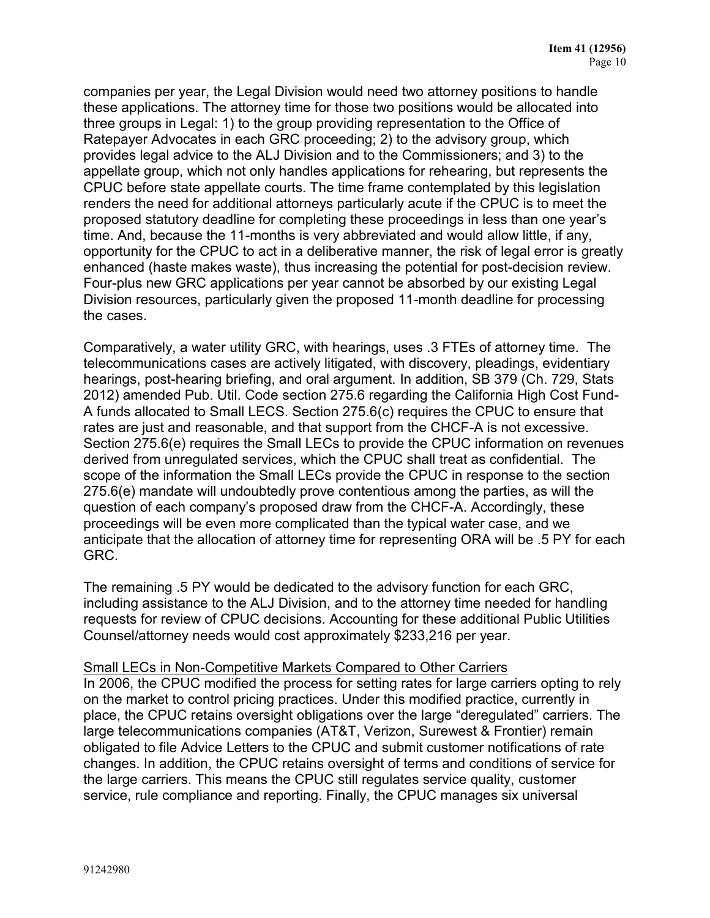companies per year, the Legal Division would need two attorney positions to handle these applications. The attorney time for those two positions would be allocated into three groups in Legal: 1) to the group providing representation to the Office of Ratepayer Advocates in each GRC proceeding; 2) to the advisory group, which provides legal advice to the ALJ Division and to the Commissioners; and 3) to the appellate group, which not only handles applications for rehearing, but represents the CPUC before state appellate courts. The time frame contemplated by this legislation renders the need for additional attorneys particularly acute if the CPUC is to meet the proposed statutory deadline for completing these proceedings in less than one year's time. And, because the 11-months is very abbreviated and would allow little, if any, opportunity for the CPUC to act in a deliberative manner, the risk of legal error is greatly enhanced (haste makes waste), thus increasing the potential for post-decision review. Four-plus new GRC applications per year cannot be absorbed by our existing Legal Division resources, particularly given the proposed 11-month deadline for processing the cases.

Comparatively, a water utility GRC, with hearings, uses .3 FTEs of attorney time. The telecommunications cases are actively litigated, with discovery, pleadings, evidentiary hearings, post-hearing briefing, and oral argument. In addition, SB 379 (Ch. 729, Stats 2012) amended Pub. Util. Code section 275.6 regarding the California High Cost Fund-A funds allocated to Small LECS. Section 275.6(c) requires the CPUC to ensure that rates are just and reasonable, and that support from the CHCF-A is not excessive. Section 275.6(e) requires the Small LECs to provide the CPUC information on revenues derived from unregulated services, which the CPUC shall treat as confidential. The scope of the information the Small LECs provide the CPUC in response to the section 275.6(e) mandate will undoubtedly prove contentious among the parties, as will the question of each company's proposed draw from the CHCF-A. Accordingly, these proceedings will be even more complicated than the typical water case, and we anticipate that the allocation of attorney time for representing ORA will be .5 PY for each GRC.

The remaining .5 PY would be dedicated to the advisory function for each GRC, including assistance to the ALJ Division, and to the attorney time needed for handling requests for review of CPUC decisions. Accounting for these additional Public Utilities Counsel/attorney needs would cost approximately \$233,216 per year.

#### Small LECs in Non-Competitive Markets Compared to Other Carriers

In 2006, the CPUC modified the process for setting rates for large carriers opting to rely on the market to control pricing practices. Under this modified practice, currently in place, the CPUC retains oversight obligations over the large "deregulated" carriers. The large telecommunications companies (AT&T, Verizon, Surewest & Frontier) remain obligated to file Advice Letters to the CPUC and submit customer notifications of rate changes. In addition, the CPUC retains oversight of terms and conditions of service for the large carriers. This means the CPUC still regulates service quality, customer service, rule compliance and reporting. Finally, the CPUC manages six universal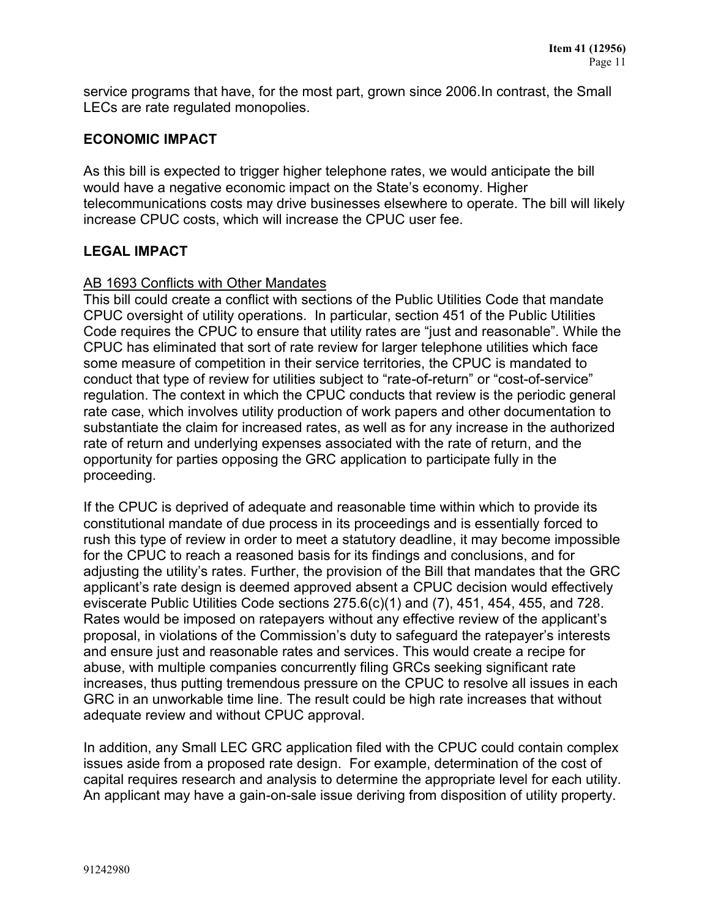service programs that have, for the most part, grown since 2006.In contrast, the Small LECs are rate regulated monopolies.

## **ECONOMIC IMPACT**

As this bill is expected to trigger higher telephone rates, we would anticipate the bill would have a negative economic impact on the State's economy. Higher telecommunications costs may drive businesses elsewhere to operate. The bill will likely increase CPUC costs, which will increase the CPUC user fee.

## **LEGAL IMPACT**

#### AB 1693 Conflicts with Other Mandates

This bill could create a conflict with sections of the Public Utilities Code that mandate CPUC oversight of utility operations. In particular, section 451 of the Public Utilities Code requires the CPUC to ensure that utility rates are "just and reasonable". While the CPUC has eliminated that sort of rate review for larger telephone utilities which face some measure of competition in their service territories, the CPUC is mandated to conduct that type of review for utilities subject to "rate-of-return" or "cost-of-service" regulation. The context in which the CPUC conducts that review is the periodic general rate case, which involves utility production of work papers and other documentation to substantiate the claim for increased rates, as well as for any increase in the authorized rate of return and underlying expenses associated with the rate of return, and the opportunity for parties opposing the GRC application to participate fully in the proceeding.

If the CPUC is deprived of adequate and reasonable time within which to provide its constitutional mandate of due process in its proceedings and is essentially forced to rush this type of review in order to meet a statutory deadline, it may become impossible for the CPUC to reach a reasoned basis for its findings and conclusions, and for adjusting the utility's rates. Further, the provision of the Bill that mandates that the GRC applicant's rate design is deemed approved absent a CPUC decision would effectively eviscerate Public Utilities Code sections 275.6(c)(1) and (7), 451, 454, 455, and 728. Rates would be imposed on ratepayers without any effective review of the applicant's proposal, in violations of the Commission's duty to safeguard the ratepayer's interests and ensure just and reasonable rates and services. This would create a recipe for abuse, with multiple companies concurrently filing GRCs seeking significant rate increases, thus putting tremendous pressure on the CPUC to resolve all issues in each GRC in an unworkable time line. The result could be high rate increases that without adequate review and without CPUC approval.

In addition, any Small LEC GRC application filed with the CPUC could contain complex issues aside from a proposed rate design. For example, determination of the cost of capital requires research and analysis to determine the appropriate level for each utility. An applicant may have a gain-on-sale issue deriving from disposition of utility property.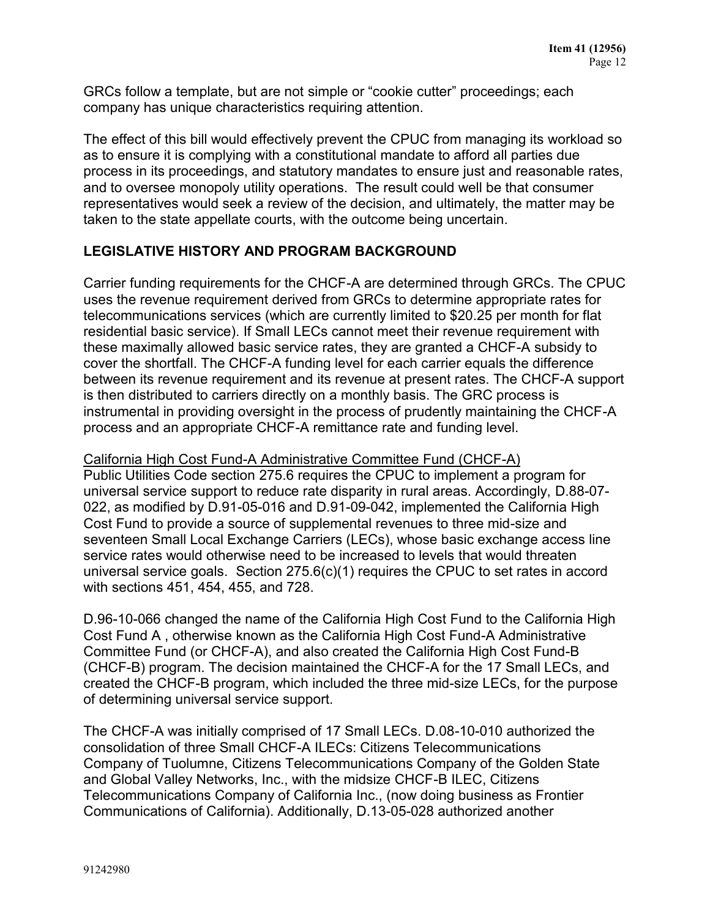GRCs follow a template, but are not simple or "cookie cutter" proceedings; each company has unique characteristics requiring attention.

The effect of this bill would effectively prevent the CPUC from managing its workload so as to ensure it is complying with a constitutional mandate to afford all parties due process in its proceedings, and statutory mandates to ensure just and reasonable rates, and to oversee monopoly utility operations. The result could well be that consumer representatives would seek a review of the decision, and ultimately, the matter may be taken to the state appellate courts, with the outcome being uncertain.

## **LEGISLATIVE HISTORY AND PROGRAM BACKGROUND**

Carrier funding requirements for the CHCF-A are determined through GRCs. The CPUC uses the revenue requirement derived from GRCs to determine appropriate rates for telecommunications services (which are currently limited to \$20.25 per month for flat residential basic service). If Small LECs cannot meet their revenue requirement with these maximally allowed basic service rates, they are granted a CHCF-A subsidy to cover the shortfall. The CHCF-A funding level for each carrier equals the difference between its revenue requirement and its revenue at present rates. The CHCF-A support is then distributed to carriers directly on a monthly basis. The GRC process is instrumental in providing oversight in the process of prudently maintaining the CHCF-A process and an appropriate CHCF-A remittance rate and funding level.

California High Cost Fund-A Administrative Committee Fund (CHCF-A) Public Utilities Code section 275.6 requires the CPUC to implement a program for universal service support to reduce rate disparity in rural areas. Accordingly, D.88-07- 022, as modified by D.91-05-016 and D.91-09-042, implemented the California High Cost Fund to provide a source of supplemental revenues to three mid-size and seventeen Small Local Exchange Carriers (LECs), whose basic exchange access line service rates would otherwise need to be increased to levels that would threaten universal service goals. Section 275.6(c)(1) requires the CPUC to set rates in accord with sections 451, 454, 455, and 728.

D.96-10-066 changed the name of the California High Cost Fund to the California High Cost Fund A , otherwise known as the California High Cost Fund-A Administrative Committee Fund (or CHCF-A), and also created the California High Cost Fund-B (CHCF-B) program. The decision maintained the CHCF-A for the 17 Small LECs, and created the CHCF-B program, which included the three mid-size LECs, for the purpose of determining universal service support.

The CHCF-A was initially comprised of 17 Small LECs. D.08-10-010 authorized the consolidation of three Small CHCF-A ILECs: Citizens Telecommunications Company of Tuolumne, Citizens Telecommunications Company of the Golden State and Global Valley Networks, Inc., with the midsize CHCF-B ILEC, Citizens Telecommunications Company of California Inc., (now doing business as Frontier Communications of California). Additionally, D.13-05-028 authorized another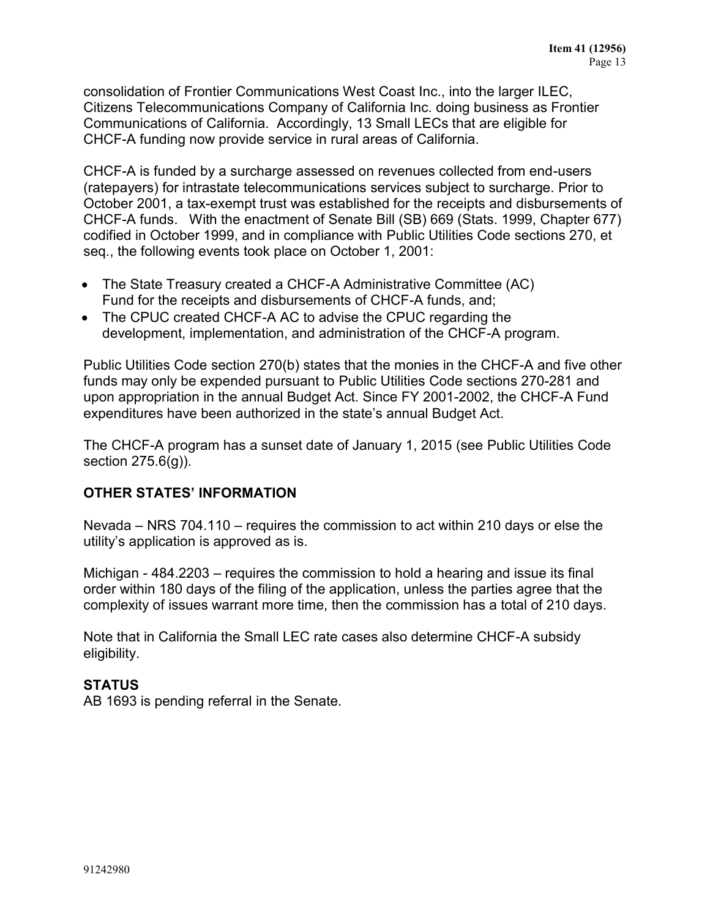consolidation of Frontier Communications West Coast Inc., into the larger ILEC, Citizens Telecommunications Company of California Inc. doing business as Frontier Communications of California. Accordingly, 13 Small LECs that are eligible for CHCF-A funding now provide service in rural areas of California.

CHCF-A is funded by a surcharge assessed on revenues collected from end-users (ratepayers) for intrastate telecommunications services subject to surcharge. Prior to October 2001, a tax-exempt trust was established for the receipts and disbursements of CHCF-A funds. With the enactment of Senate Bill (SB) 669 (Stats. 1999, Chapter 677) codified in October 1999, and in compliance with Public Utilities Code sections 270, et seq., the following events took place on October 1, 2001:

- The State Treasury created a CHCF-A Administrative Committee (AC) Fund for the receipts and disbursements of CHCF-A funds, and;
- The CPUC created CHCF-A AC to advise the CPUC regarding the development, implementation, and administration of the CHCF-A program.

Public Utilities Code section 270(b) states that the monies in the CHCF-A and five other funds may only be expended pursuant to Public Utilities Code sections 270-281 and upon appropriation in the annual Budget Act. Since FY 2001-2002, the CHCF-A Fund expenditures have been authorized in the state's annual Budget Act.

The CHCF-A program has a sunset date of January 1, 2015 (see Public Utilities Code section 275.6(g)).

## **OTHER STATES' INFORMATION**

Nevada – NRS 704.110 – requires the commission to act within 210 days or else the utility's application is approved as is.

Michigan - 484.2203 – requires the commission to hold a hearing and issue its final order within 180 days of the filing of the application, unless the parties agree that the complexity of issues warrant more time, then the commission has a total of 210 days.

Note that in California the Small LEC rate cases also determine CHCF-A subsidy eligibility.

#### **STATUS**

AB 1693 is pending referral in the Senate.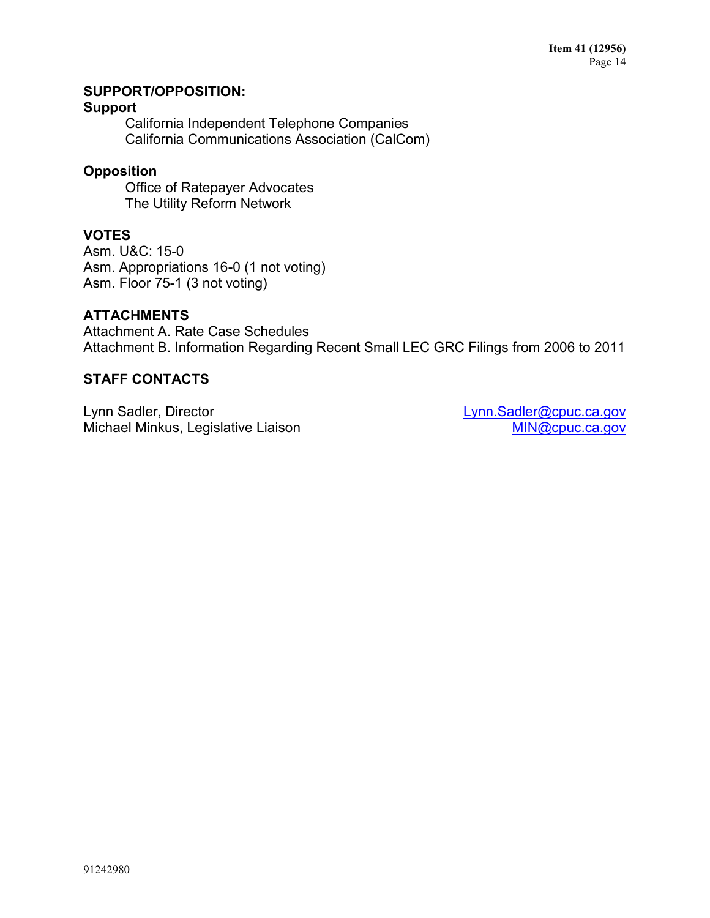## **SUPPORT/OPPOSITION:**

#### **Support**

California Independent Telephone Companies California Communications Association (CalCom)

## **Opposition**

Office of Ratepayer Advocates The Utility Reform Network

## **VOTES**

Asm. U&C: 15-0 Asm. Appropriations 16-0 (1 not voting) Asm. Floor 75-1 (3 not voting)

## **ATTACHMENTS**

Attachment A. Rate Case Schedules Attachment B. Information Regarding Recent Small LEC GRC Filings from 2006 to 2011

## **STAFF CONTACTS**

Lynn Sadler, Director Michael Minkus, Legislative Liaison [Lynn.Sadler@cpuc.ca.gov](mailto:Lynn.Sadler@cpuc.ca.gov) [MIN@cpuc.ca.gov](mailto:MIN@cpuc.ca.gov)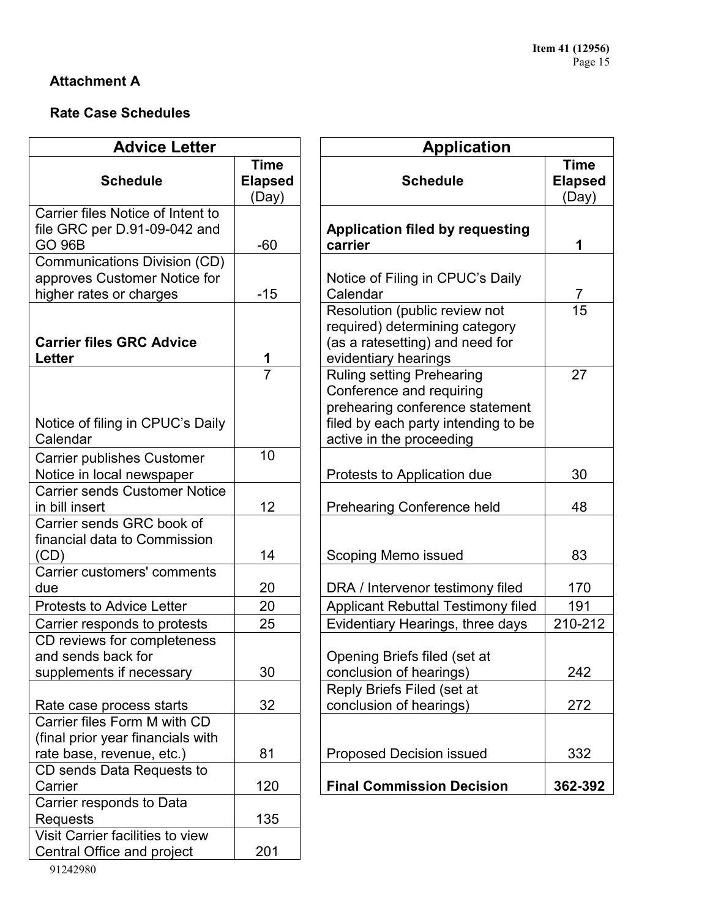# **Attachment A**

# **Rate Case Schedules**

| <b>Advice Letter</b>                                        |                     | <b>Application</b>                                           |                 |  |  |
|-------------------------------------------------------------|---------------------|--------------------------------------------------------------|-----------------|--|--|
|                                                             | <b>Time</b>         |                                                              | <b>Time</b>     |  |  |
| <b>Schedule</b>                                             | <b>Elapsed</b>      | <b>Schedule</b>                                              | <b>Elapsed</b>  |  |  |
|                                                             | (Day)               |                                                              | (Day)           |  |  |
| Carrier files Notice of Intent to                           |                     |                                                              |                 |  |  |
| file GRC per D.91-09-042 and<br><b>GO 96B</b>               | $-60$               | <b>Application filed by requesting</b><br>carrier            | 1               |  |  |
| Communications Division (CD)                                |                     |                                                              |                 |  |  |
| approves Customer Notice for                                |                     | Notice of Filing in CPUC's Daily                             |                 |  |  |
| higher rates or charges                                     | $-15$               | Calendar                                                     | 7               |  |  |
|                                                             |                     | Resolution (public review not                                | $\overline{15}$ |  |  |
|                                                             |                     | required) determining category                               |                 |  |  |
| <b>Carrier files GRC Advice</b>                             |                     | (as a ratesetting) and need for                              |                 |  |  |
| <b>Letter</b>                                               | 1<br>$\overline{7}$ | evidentiary hearings                                         | 27              |  |  |
|                                                             |                     | <b>Ruling setting Prehearing</b><br>Conference and requiring |                 |  |  |
|                                                             |                     | prehearing conference statement                              |                 |  |  |
| Notice of filing in CPUC's Daily                            |                     | filed by each party intending to be                          |                 |  |  |
| Calendar                                                    |                     | active in the proceeding                                     |                 |  |  |
| <b>Carrier publishes Customer</b>                           | 10                  |                                                              |                 |  |  |
| Notice in local newspaper                                   |                     | Protests to Application due                                  | 30              |  |  |
| <b>Carrier sends Customer Notice</b>                        |                     |                                                              |                 |  |  |
| in bill insert                                              | 12                  | <b>Prehearing Conference held</b>                            | 48              |  |  |
| Carrier sends GRC book of                                   |                     |                                                              |                 |  |  |
| financial data to Commission                                |                     |                                                              |                 |  |  |
| (CD)                                                        | 14                  | Scoping Memo issued                                          | 83              |  |  |
| Carrier customers' comments                                 |                     |                                                              |                 |  |  |
| due                                                         | 20                  | DRA / Intervenor testimony filed                             | 170             |  |  |
| <b>Protests to Advice Letter</b>                            | 20                  | <b>Applicant Rebuttal Testimony filed</b>                    | 191<br>210-212  |  |  |
| Carrier responds to protests<br>CD reviews for completeness | 25                  | Evidentiary Hearings, three days                             |                 |  |  |
| and sends back for                                          |                     | Opening Briefs filed (set at                                 |                 |  |  |
| supplements if necessary                                    | 30                  | conclusion of hearings)                                      | 242             |  |  |
|                                                             |                     | Reply Briefs Filed (set at                                   |                 |  |  |
| Rate case process starts                                    | 32                  | conclusion of hearings)                                      | 272             |  |  |
| Carrier files Form M with CD                                |                     |                                                              |                 |  |  |
| (final prior year financials with                           |                     |                                                              |                 |  |  |
| rate base, revenue, etc.)                                   | 81                  | Proposed Decision issued                                     | 332             |  |  |
| CD sends Data Requests to                                   |                     |                                                              |                 |  |  |
| Carrier                                                     | 120                 | <b>Final Commission Decision</b>                             | 362-392         |  |  |
| Carrier responds to Data                                    |                     |                                                              |                 |  |  |
| <b>Requests</b>                                             | 135                 |                                                              |                 |  |  |
| Visit Carrier facilities to view                            | 201                 |                                                              |                 |  |  |
| Central Office and project                                  |                     |                                                              |                 |  |  |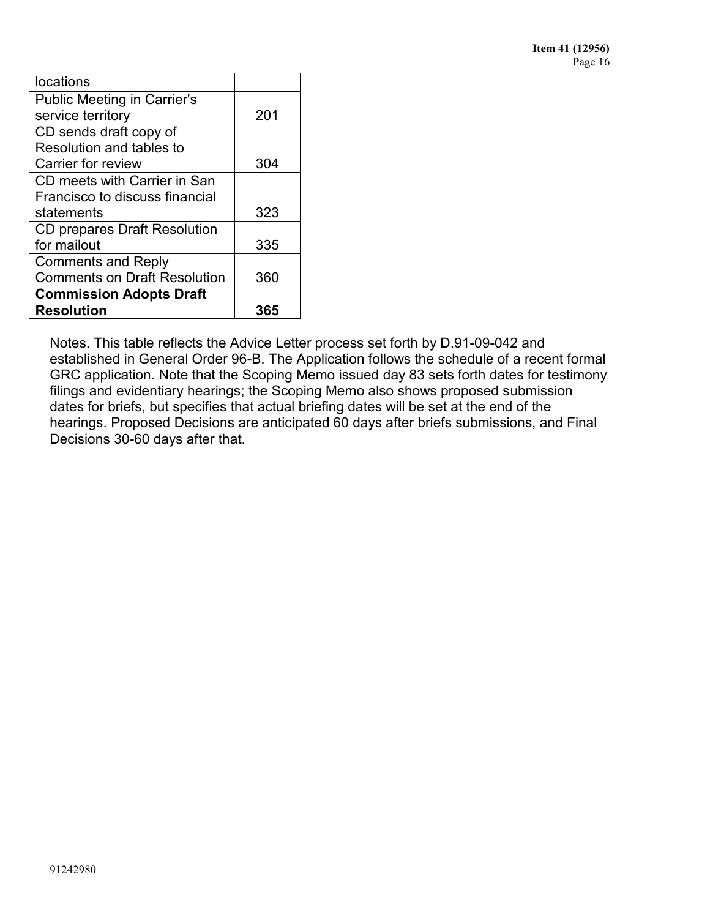| locations                           |     |
|-------------------------------------|-----|
| <b>Public Meeting in Carrier's</b>  |     |
| service territory                   | 201 |
| CD sends draft copy of              |     |
| Resolution and tables to            |     |
| Carrier for review                  | 304 |
| CD meets with Carrier in San        |     |
| Francisco to discuss financial      |     |
| statements                          | 323 |
| <b>CD prepares Draft Resolution</b> |     |
| for mailout                         | 335 |
| <b>Comments and Reply</b>           |     |
| <b>Comments on Draft Resolution</b> | 360 |
| <b>Commission Adopts Draft</b>      |     |
| <b>Resolution</b>                   | 365 |

Notes. This table reflects the Advice Letter process set forth by D.91-09-042 and established in General Order 96-B. The Application follows the schedule of a recent formal GRC application. Note that the Scoping Memo issued day 83 sets forth dates for testimony filings and evidentiary hearings; the Scoping Memo also shows proposed submission dates for briefs, but specifies that actual briefing dates will be set at the end of the hearings. Proposed Decisions are anticipated 60 days after briefs submissions, and Final Decisions 30-60 days after that.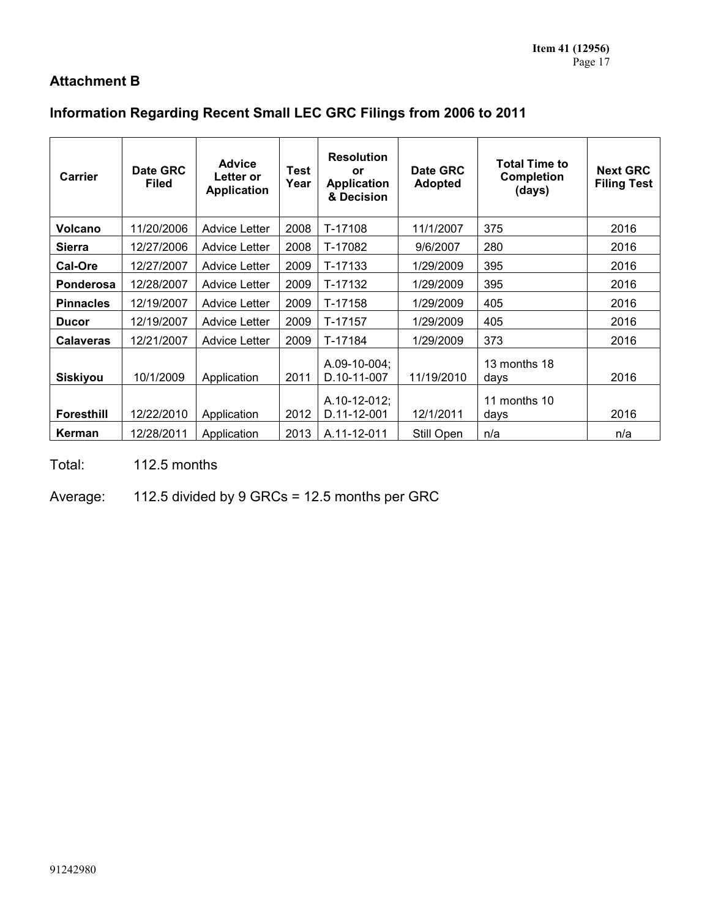# **Attachment B**

# **Information Regarding Recent Small LEC GRC Filings from 2006 to 2011**

| Carrier           | Date GRC<br><b>Filed</b> | <b>Advice</b><br>Letter or<br><b>Application</b> | Test<br>Year | <b>Resolution</b><br>or<br><b>Application</b><br>& Decision | Date GRC<br><b>Adopted</b> | <b>Total Time to</b><br><b>Completion</b><br>(days) | <b>Next GRC</b><br><b>Filing Test</b> |
|-------------------|--------------------------|--------------------------------------------------|--------------|-------------------------------------------------------------|----------------------------|-----------------------------------------------------|---------------------------------------|
| <b>Volcano</b>    | 11/20/2006               | <b>Advice Letter</b>                             | 2008         | T-17108                                                     | 11/1/2007                  | 375                                                 | 2016                                  |
| <b>Sierra</b>     | 12/27/2006               | <b>Advice Letter</b>                             | 2008         | T-17082                                                     | 9/6/2007                   | 280                                                 | 2016                                  |
| Cal-Ore           | 12/27/2007               | <b>Advice Letter</b>                             | 2009         | T-17133                                                     | 1/29/2009                  | 395                                                 | 2016                                  |
| Ponderosa         | 12/28/2007               | <b>Advice Letter</b>                             | 2009         | T-17132                                                     | 1/29/2009                  | 395                                                 | 2016                                  |
| <b>Pinnacles</b>  | 12/19/2007               | <b>Advice Letter</b>                             | 2009         | T-17158                                                     | 1/29/2009                  | 405                                                 | 2016                                  |
| <b>Ducor</b>      | 12/19/2007               | <b>Advice Letter</b>                             | 2009         | T-17157                                                     | 1/29/2009                  | 405                                                 | 2016                                  |
| <b>Calaveras</b>  | 12/21/2007               | <b>Advice Letter</b>                             | 2009         | T-17184                                                     | 1/29/2009                  | 373                                                 | 2016                                  |
| <b>Siskiyou</b>   | 10/1/2009                | Application                                      | 2011         | A.09-10-004;<br>D.10-11-007<br>A.10-12-012;                 | 11/19/2010                 | 13 months 18<br>days<br>11 months 10                | 2016                                  |
| <b>Foresthill</b> | 12/22/2010               | Application                                      | 2012         | D.11-12-001                                                 | 12/1/2011                  | days                                                | 2016                                  |
| Kerman            | 12/28/2011               | Application                                      | 2013         | A.11-12-011                                                 | Still Open                 | n/a                                                 | n/a                                   |

Total: 112.5 months

Average: 112.5 divided by 9 GRCs = 12.5 months per GRC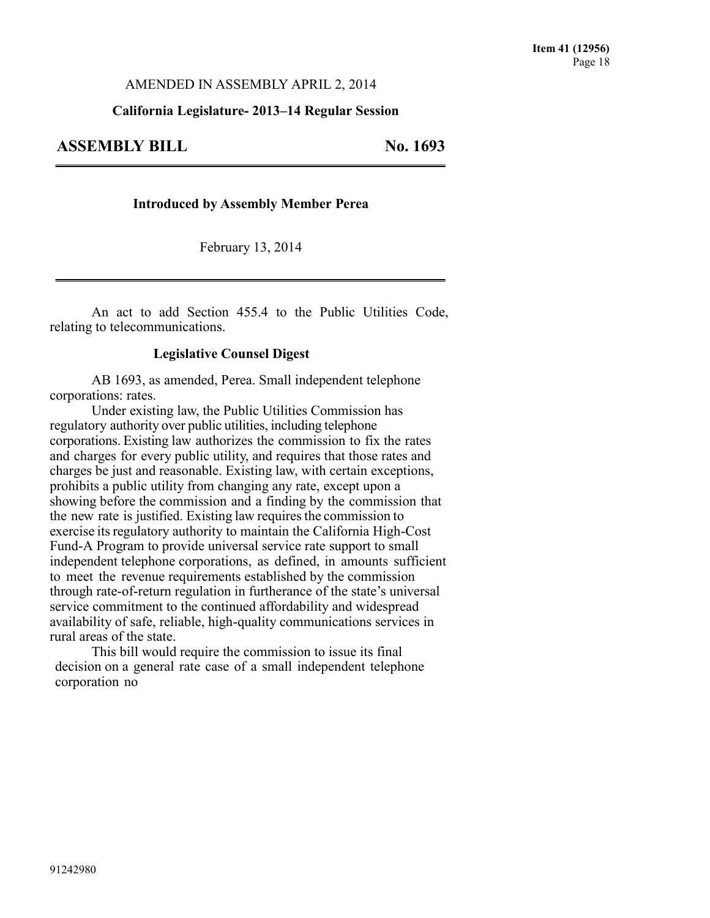#### AMENDED IN ASSEMBLY APRIL 2, 2014

#### **California Legislature- 2013–14 Regular Session**

## **ASSEMBLY BILL No. 1693**

#### **Introduced by Assembly Member Perea**

February 13, 2014

An act to add Section 455.4 to the Public Utilities Code, relating to telecommunications.

#### **Legislative Counsel Digest**

AB 1693, as amended, Perea. Small independent telephone corporations: rates.

Under existing law, the Public Utilities Commission has regulatory authority over public utilities, including telephone corporations. Existing law authorizes the commission to fix the rates and charges for every public utility, and requires that those rates and charges be just and reasonable. Existing law, with certain exceptions, prohibits a public utility from changing any rate, except upon a showing before the commission and a finding by the commission that the new rate is justified. Existing law requires the commission to exercise its regulatory authority to maintain the California High-Cost Fund-A Program to provide universal service rate support to small independent telephone corporations, as defined, in amounts sufficient to meet the revenue requirements established by the commission through rate-of-return regulation in furtherance of the state's universal service commitment to the continued affordability and widespread availability of safe, reliable, high-quality communications services in rural areas of the state.

This bill would require the commission to issue its final decision on a general rate case of a small independent telephone corporation no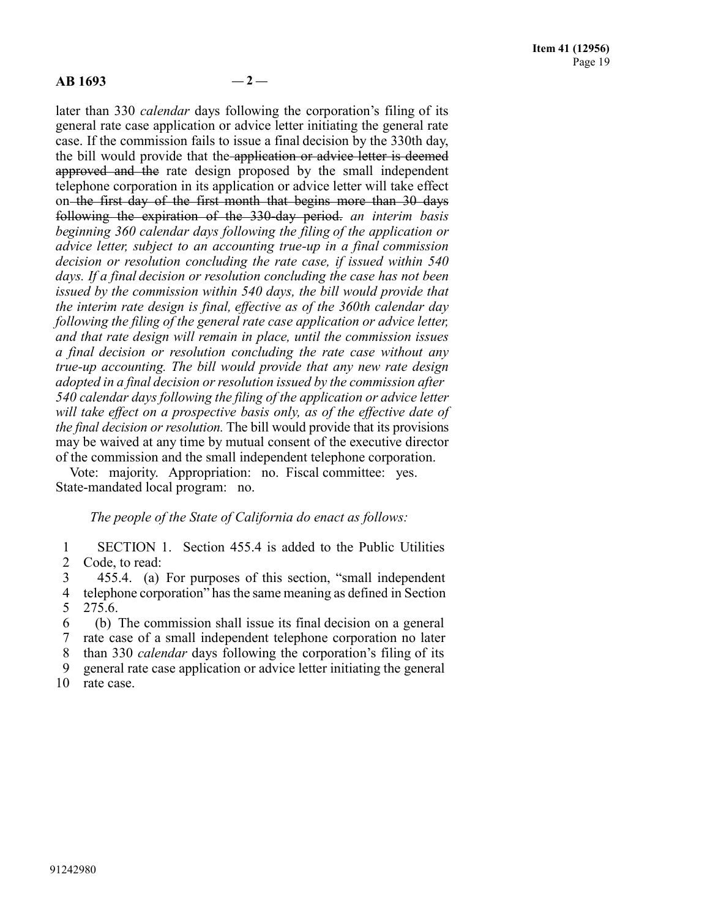#### **AB 1693 — 2 —**

later than 330 *calendar* days following the corporation's filing of its general rate case application or advice letter initiating the general rate case. If the commission fails to issue a final decision by the 330th day, the bill would provide that the application or advice letter is deemed approved and the rate design proposed by the small independent telephone corporation in its application or advice letter will take effect on the first day of the first month that begins more than 30 days following the expiration of the 330-day period. *an interim basis beginning 360 calendar days following the filing of the application or advice letter, subject to an accounting true-up in a final commission decision or resolution concluding the rate case, if issued within 540 days. If a final decision or resolution concluding the case has not been issued by the commission within 540 days, the bill would provide that the interim rate design is final, effective as of the 360th calendar day following the filing of the general rate case application or advice letter, and that rate design will remain in place, until the commission issues a final decision or resolution concluding the rate case without any true-up accounting. The bill would provide that any new rate design adopted in a final decision or resolution issued by the commission after 540 calendar days following the filing of the application or advice letter will take effect on a prospective basis only, as of the effective date of the final decision or resolution.* The bill would provide that its provisions may be waived at any time by mutual consent of the executive director of the commission and the small independent telephone corporation.

Vote: majority. Appropriation: no. Fiscal committee: yes. State-mandated local program: no.

#### *The people of the State of California do enact as follows:*

1 SECTION 1. Section 455.4 is added to the Public Utilities 2 Code, to read:

3 455.4. (a) For purposes of this section, "small independent 4 telephone corporation" hasthe same meaning as defined in Section 5 275.6.

 (b) The commission shall issue its final decision on a general rate case of a small independent telephone corporation no later than 330 *calendar* days following the corporation's filing of its general rate case application or advice letter initiating the general

10 rate case.